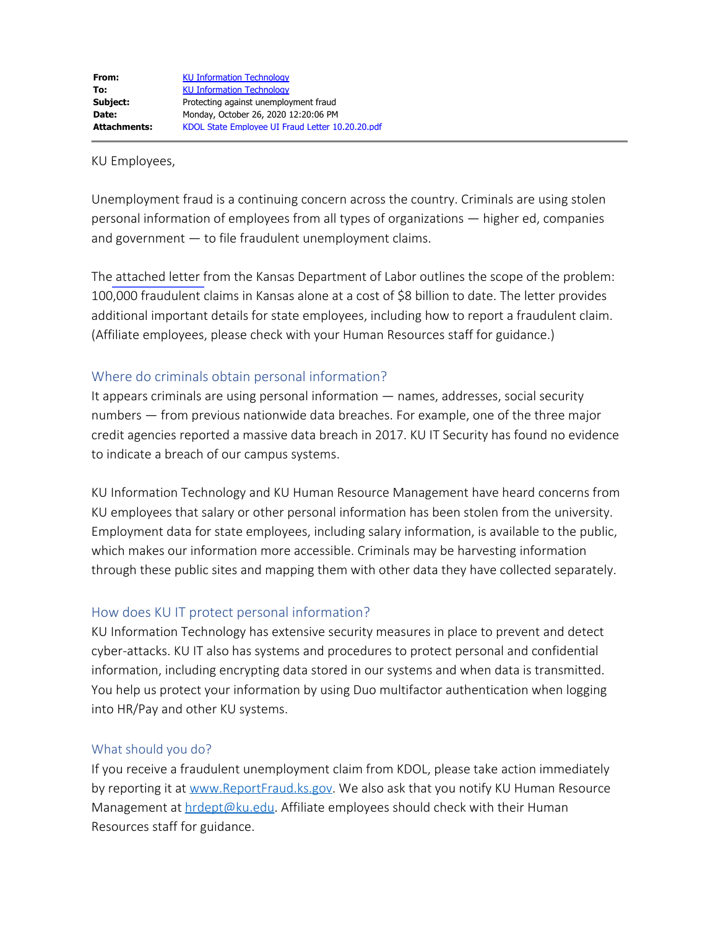#### KU Employees,

Unemployment fraud is a continuing concern across the country. Criminals are using stolen personal information of employees from all types of organizations — higher ed, companies and government — to file fraudulent unemployment claims.

The [attached letter f](https://humanresources.ku.edu/sites/humanresources.drupal.ku.edu/files/docs/Unemployment_Fraud/KDOL_State_Employee_UI_Fraud_Letter_10.20.20.pdf)rom the Kansas Department of Labor outlines the scope of the problem: 100,000 fraudulent claims in Kansas alone at a cost of \$8 billion to date. The letter provides additional important details for state employees, including how to report a fraudulent claim. (Affiliate employees, please check with your Human Resources staff for guidance.)

# Where do criminals obtain personal information?

It appears criminals are using personal information — names, addresses, social security numbers — from previous nationwide data breaches. For example, one of the three major credit agencies reported a massive data breach in 2017. KU IT Security has found no evidence to indicate a breach of our campus systems.

KU Information Technology and KU Human Resource Management have heard concerns from KU employees that salary or other personal information has been stolen from the university. Employment data for state employees, including salary information, is available to the public, which makes our information more accessible. Criminals may be harvesting information through these public sites and mapping them with other data they have collected separately.

## How does KU IT protect personal information?

KU Information Technology has extensive security measures in place to prevent and detect cyber-attacks. KU IT also has systems and procedures to protect personal and confidential information, including encrypting data stored in our systems and when data is transmitted. You help us protect your information by using Duo multifactor authentication when logging into HR/Pay and other KU systems.

#### What should you do?

If you receive a fraudulent unemployment claim from KDOL, please take action immediately by reporting it at [www.ReportFraud.ks.gov](https://www.reportfraud.ks.gov/). We also ask that you notify KU Human Resource Management at [hrdept@ku.edu](mailto:hrdept@ku.edu). Affiliate employees should check with their Human Resources staff for guidance.